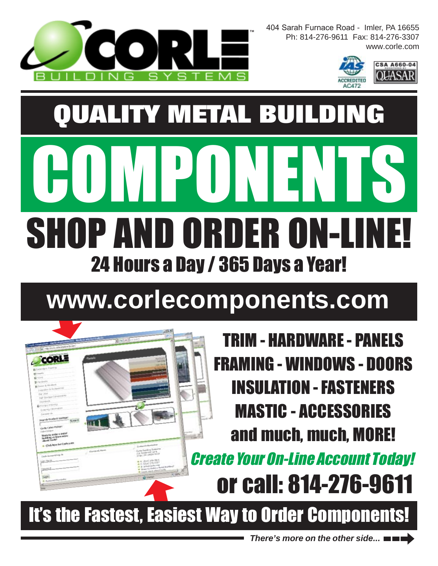

**CORLE** 

404 Sarah Furnace Road - Imler, PA 16655 Ph: 814-276-9611 Fax: 814-276-3307 www.corle.com



## **www.corlecomponents.com**

TRIM - HARDWARE - PANELS FRAMING - WINDOWS - DOORS INSULATION - FASTENERS MASTIC - ACCESSORIES and much, much, MORE!

or call: 814-276-9611 Create Your On-Line Account Today!

It's the Fastest, Easiest Way to Order Components!

*There's more on the other side...*